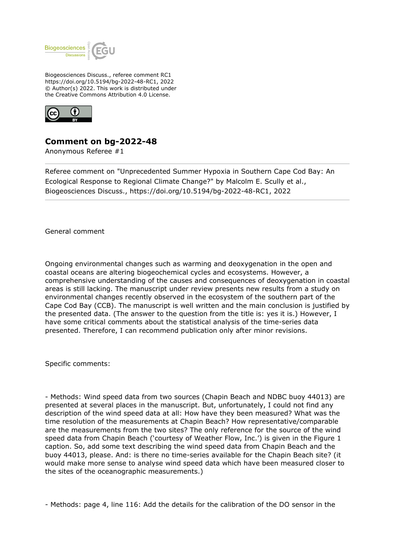

Biogeosciences Discuss., referee comment RC1 https://doi.org/10.5194/bg-2022-48-RC1, 2022 © Author(s) 2022. This work is distributed under the Creative Commons Attribution 4.0 License.



## **Comment on bg-2022-48**

Anonymous Referee #1

Referee comment on "Unprecedented Summer Hypoxia in Southern Cape Cod Bay: An Ecological Response to Regional Climate Change?" by Malcolm E. Scully et al., Biogeosciences Discuss., https://doi.org/10.5194/bg-2022-48-RC1, 2022

General comment

Ongoing environmental changes such as warming and deoxygenation in the open and coastal oceans are altering biogeochemical cycles and ecosystems. However, a comprehensive understanding of the causes and consequences of deoxygenation in coastal areas is still lacking. The manuscript under review presents new results from a study on environmental changes recently observed in the ecosystem of the southern part of the Cape Cod Bay (CCB). The manuscript is well written and the main conclusion is justified by the presented data. (The answer to the question from the title is: yes it is.) However, I have some critical comments about the statistical analysis of the time-series data presented. Therefore, I can recommend publication only after minor revisions.

Specific comments:

- Methods: Wind speed data from two sources (Chapin Beach and NDBC buoy 44013) are presented at several places in the manuscript. But, unfortunately, I could not find any description of the wind speed data at all: How have they been measured? What was the time resolution of the measurements at Chapin Beach? How representative/comparable are the measurements from the two sites? The only reference for the source of the wind speed data from Chapin Beach ('courtesy of Weather Flow, Inc.') is given in the Figure 1 caption. So, add some text describing the wind speed data from Chapin Beach and the buoy 44013, please. And: is there no time-series available for the Chapin Beach site? (it would make more sense to analyse wind speed data which have been measured closer to the sites of the oceanographic measurements.)

- Methods: page 4, line 116: Add the details for the calibration of the DO sensor in the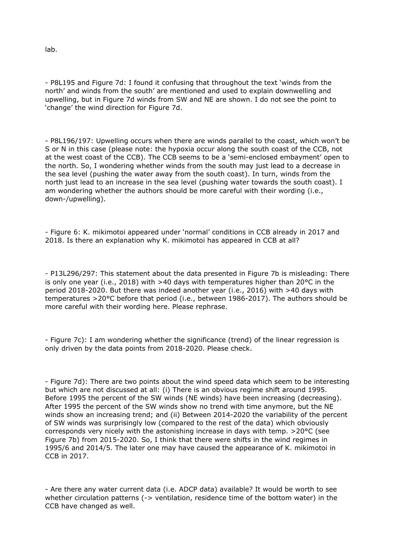lab.

- P8L195 and Figure 7d: I found it confusing that throughout the text 'winds from the north' and winds from the south' are mentioned and used to explain downwelling and upwelling, but in Figure 7d winds from SW and NE are shown. I do not see the point to 'change' the wind direction for Figure 7d.

- P8L196/197: Upwelling occurs when there are winds parallel to the coast, which won't be S or N in this case (please note: the hypoxia occur along the south coast of the CCB, not at the west coast of the CCB). The CCB seems to be a 'semi-enclosed embayment' open to the north. So, I wondering whether winds from the south may just lead to a decrease in the sea level (pushing the water away from the south coast). In turn, winds from the north just lead to an increase in the sea level (pushing water towards the south coast). I am wondering whether the authors should be more careful with their wording (i.e., down-/upwelling).

- Figure 6: K. mikimotoi appeared under 'normal' conditions in CCB already in 2017 and 2018. Is there an explanation why K. mikimotoi has appeared in CCB at all?

- P13L296/297: This statement about the data presented in Figure 7b is misleading: There is only one year (i.e., 2018) with >40 days with temperatures higher than 20°C in the period 2018-2020. But there was indeed another year (i.e., 2016) with >40 days with temperatures >20°C before that period (i.e., between 1986-2017). The authors should be more careful with their wording here. Please rephrase.

- Figure 7c): I am wondering whether the significance (trend) of the linear regression is only driven by the data points from 2018-2020. Please check.

- Figure 7d): There are two points about the wind speed data which seem to be interesting but which are not discussed at all: (i) There is an obvious regime shift around 1995. Before 1995 the percent of the SW winds (NE winds) have been increasing (decreasing). After 1995 the percent of the SW winds show no trend with time anymore, but the NE winds show an increasing trend; and (ii) Between 2014-2020 the variability of the percent of SW winds was surprisingly low (compared to the rest of the data) which obviously corresponds very nicely with the astonishing increase in days with temp. >20°C (see Figure 7b) from 2015-2020. So, I think that there were shifts in the wind regimes in 1995/6 and 2014/5. The later one may have caused the appearance of K. mikimotoi in CCB in 2017.

- Are there any water current data (i.e. ADCP data) available? It would be worth to see whether circulation patterns (-> ventilation, residence time of the bottom water) in the CCB have changed as well.